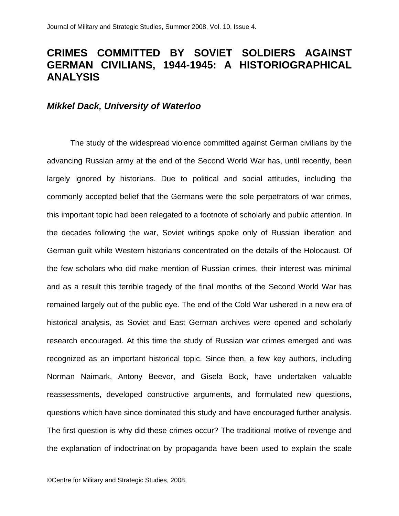## **CRIMES COMMITTED BY SOVIET SOLDIERS AGAINST GERMAN CIVILIANS, 1944-1945: A HISTORIOGRAPHICAL ANALYSIS**

## *Mikkel Dack, University of Waterloo*

The study of the widespread violence committed against German civilians by the advancing Russian army at the end of the Second World War has, until recently, been largely ignored by historians. Due to political and social attitudes, including the commonly accepted belief that the Germans were the sole perpetrators of war crimes, this important topic had been relegated to a footnote of scholarly and public attention. In the decades following the war, Soviet writings spoke only of Russian liberation and German guilt while Western historians concentrated on the details of the Holocaust. Of the few scholars who did make mention of Russian crimes, their interest was minimal and as a result this terrible tragedy of the final months of the Second World War has remained largely out of the public eye. The end of the Cold War ushered in a new era of historical analysis, as Soviet and East German archives were opened and scholarly research encouraged. At this time the study of Russian war crimes emerged and was recognized as an important historical topic. Since then, a few key authors, including Norman Naimark, Antony Beevor, and Gisela Bock, have undertaken valuable reassessments, developed constructive arguments, and formulated new questions, questions which have since dominated this study and have encouraged further analysis. The first question is why did these crimes occur? The traditional motive of revenge and the explanation of indoctrination by propaganda have been used to explain the scale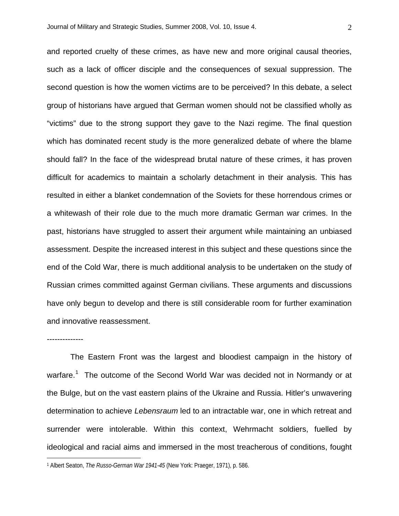and reported cruelty of these crimes, as have new and more original causal theories, such as a lack of officer disciple and the consequences of sexual suppression. The second question is how the women victims are to be perceived? In this debate, a select group of historians have argued that German women should not be classified wholly as "victims" due to the strong support they gave to the Nazi regime. The final question which has dominated recent study is the more generalized debate of where the blame should fall? In the face of the widespread brutal nature of these crimes, it has proven difficult for academics to maintain a scholarly detachment in their analysis. This has resulted in either a blanket condemnation of the Soviets for these horrendous crimes or a whitewash of their role due to the much more dramatic German war crimes. In the past, historians have struggled to assert their argument while maintaining an unbiased assessment. Despite the increased interest in this subject and these questions since the end of the Cold War, there is much additional analysis to be undertaken on the study of Russian crimes committed against German civilians. These arguments and discussions have only begun to develop and there is still considerable room for further examination and innovative reassessment.

The Eastern Front was the largest and bloodiest campaign in the history of warfare.<sup>[1](#page-1-0)</sup> The outcome of the Second World War was decided not in Normandy or at the Bulge, but on the vast eastern plains of the Ukraine and Russia. Hitler's unwavering determination to achieve *Lebensraum* led to an intractable war, one in which retreat and surrender were intolerable. Within this context, Wehrmacht soldiers, fuelled by ideological and racial aims and immersed in the most treacherous of conditions, fought

--------------

<span id="page-1-0"></span><sup>1</sup> Albert Seaton, *The Russo-German War 1941-45* (New York: Praeger, 1971), p. 586.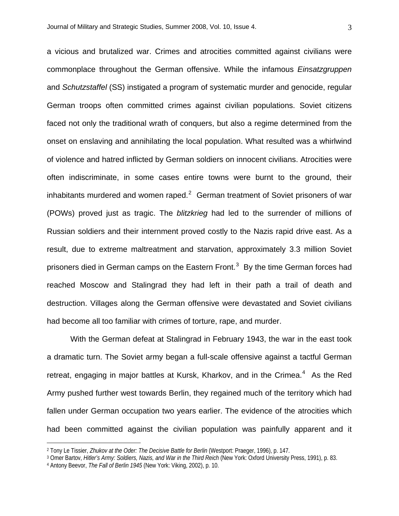a vicious and brutalized war. Crimes and atrocities committed against civilians were commonplace throughout the German offensive. While the infamous *Einsatzgruppen* and *Schutzstaffel* (SS) instigated a program of systematic murder and genocide, regular German troops often committed crimes against civilian populations. Soviet citizens faced not only the traditional wrath of conquers, but also a regime determined from the onset on enslaving and annihilating the local population. What resulted was a whirlwind of violence and hatred inflicted by German soldiers on innocent civilians. Atrocities were often indiscriminate, in some cases entire towns were burnt to the ground, their inhabitants murdered and women raped. $2$  German treatment of Soviet prisoners of war (POWs) proved just as tragic. The *blitzkrieg* had led to the surrender of millions of Russian soldiers and their internment proved costly to the Nazis rapid drive east. As a result, due to extreme maltreatment and starvation, approximately 3.3 million Soviet prisoners died in German camps on the Eastern Front.<sup>[3](#page-2-1)</sup> By the time German forces had reached Moscow and Stalingrad they had left in their path a trail of death and destruction. Villages along the German offensive were devastated and Soviet civilians had become all too familiar with crimes of torture, rape, and murder.

With the German defeat at Stalingrad in February 1943, the war in the east took a dramatic turn. The Soviet army began a full-scale offensive against a tactful German retreat, engaging in major battles at Kursk, Kharkov, and in the Crimea.<sup>[4](#page-2-2)</sup> As the Red Army pushed further west towards Berlin, they regained much of the territory which had fallen under German occupation two years earlier. The evidence of the atrocities which had been committed against the civilian population was painfully apparent and it

<u>.</u>

<span id="page-2-0"></span><sup>2</sup> Tony Le Tissier, *Zhukov at the Oder: The Decisive Battle for Berlin* (Westport: Praeger, 1996), p. 147.

<span id="page-2-1"></span><sup>3</sup> Omer Bartov, *Hitler's Army: Soldiers, Nazis, and War in the Third Reich* (New York: Oxford University Press, 1991), p. 83.

<span id="page-2-2"></span><sup>4</sup> Antony Beevor, *The Fall of Berlin 1945* (New York: Viking, 2002), p. 10.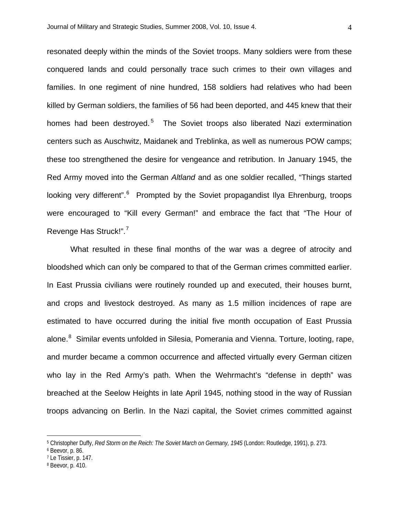resonated deeply within the minds of the Soviet troops. Many soldiers were from these conquered lands and could personally trace such crimes to their own villages and families. In one regiment of nine hundred, 158 soldiers had relatives who had been killed by German soldiers, the families of 56 had been deported, and 445 knew that their homes had been destroyed.<sup>[5](#page-3-0)</sup> The Soviet troops also liberated Nazi extermination centers such as Auschwitz, Maidanek and Treblinka, as well as numerous POW camps; these too strengthened the desire for vengeance and retribution. In January 1945, the Red Army moved into the German *Altland* and as one soldier recalled, "Things started looking very different".<sup>[6](#page-3-1)</sup> Prompted by the Soviet propagandist Ilya Ehrenburg, troops were encouraged to "Kill every German!" and embrace the fact that "The Hour of Revenge Has Struck!".<sup>[7](#page-3-2)</sup>

What resulted in these final months of the war was a degree of atrocity and bloodshed which can only be compared to that of the German crimes committed earlier. In East Prussia civilians were routinely rounded up and executed, their houses burnt, and crops and livestock destroyed. As many as 1.5 million incidences of rape are estimated to have occurred during the initial five month occupation of East Prussia alone.<sup>[8](#page-3-3)</sup> Similar events unfolded in Silesia, Pomerania and Vienna. Torture, looting, rape, and murder became a common occurrence and affected virtually every German citizen who lay in the Red Army's path. When the Wehrmacht's "defense in depth" was breached at the Seelow Heights in late April 1945, nothing stood in the way of Russian troops advancing on Berlin. In the Nazi capital, the Soviet crimes committed against

<span id="page-3-0"></span><sup>5</sup> Christopher Duffy, *Red Storm on the Reich: The Soviet March on Germany, 1945* (London: Routledge, 1991), p. 273.

<span id="page-3-2"></span><span id="page-3-1"></span><sup>6</sup> Beevor, p. 86.

<sup>7</sup> Le Tissier, p. 147.

<span id="page-3-3"></span><sup>8</sup> Beevor, p. 410.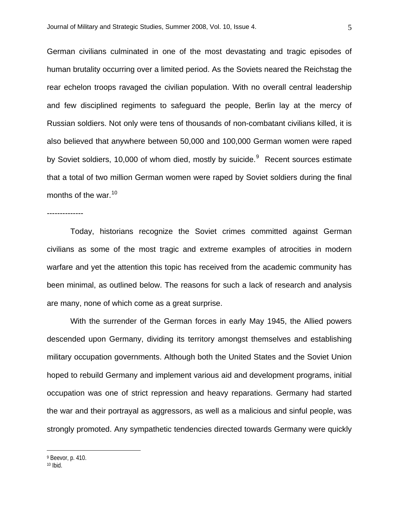German civilians culminated in one of the most devastating and tragic episodes of human brutality occurring over a limited period. As the Soviets neared the Reichstag the rear echelon troops ravaged the civilian population. With no overall central leadership and few disciplined regiments to safeguard the people, Berlin lay at the mercy of Russian soldiers. Not only were tens of thousands of non-combatant civilians killed, it is also believed that anywhere between 50,000 and 100,000 German women were raped by Soviet soldiers, 10,000 of whom died, mostly by suicide.<sup>[9](#page-4-0)</sup> Recent sources estimate that a total of two million German women were raped by Soviet soldiers during the final months of the war.<sup>[10](#page-4-1)</sup>

--------------

Today, historians recognize the Soviet crimes committed against German civilians as some of the most tragic and extreme examples of atrocities in modern warfare and yet the attention this topic has received from the academic community has been minimal, as outlined below. The reasons for such a lack of research and analysis are many, none of which come as a great surprise.

With the surrender of the German forces in early May 1945, the Allied powers descended upon Germany, dividing its territory amongst themselves and establishing military occupation governments. Although both the United States and the Soviet Union hoped to rebuild Germany and implement various aid and development programs, initial occupation was one of strict repression and heavy reparations. Germany had started the war and their portrayal as aggressors, as well as a malicious and sinful people, was strongly promoted. Any sympathetic tendencies directed towards Germany were quickly

<span id="page-4-0"></span><sup>9</sup> Beevor, p. 410.

<span id="page-4-1"></span> $10$  Ibid.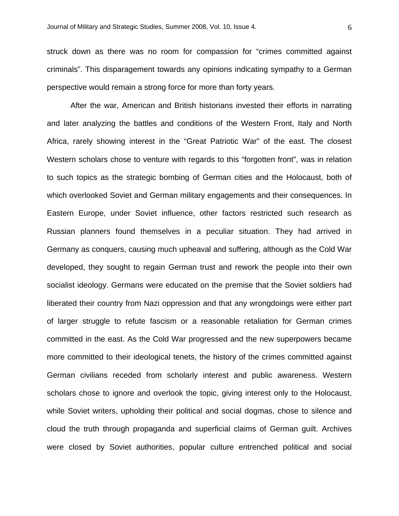struck down as there was no room for compassion for "crimes committed against criminals". This disparagement towards any opinions indicating sympathy to a German perspective would remain a strong force for more than forty years.

After the war, American and British historians invested their efforts in narrating and later analyzing the battles and conditions of the Western Front, Italy and North Africa, rarely showing interest in the "Great Patriotic War" of the east. The closest Western scholars chose to venture with regards to this "forgotten front", was in relation to such topics as the strategic bombing of German cities and the Holocaust, both of which overlooked Soviet and German military engagements and their consequences. In Eastern Europe, under Soviet influence, other factors restricted such research as Russian planners found themselves in a peculiar situation. They had arrived in Germany as conquers, causing much upheaval and suffering, although as the Cold War developed, they sought to regain German trust and rework the people into their own socialist ideology. Germans were educated on the premise that the Soviet soldiers had liberated their country from Nazi oppression and that any wrongdoings were either part of larger struggle to refute fascism or a reasonable retaliation for German crimes committed in the east. As the Cold War progressed and the new superpowers became more committed to their ideological tenets, the history of the crimes committed against German civilians receded from scholarly interest and public awareness. Western scholars chose to ignore and overlook the topic, giving interest only to the Holocaust, while Soviet writers, upholding their political and social dogmas, chose to silence and cloud the truth through propaganda and superficial claims of German guilt. Archives were closed by Soviet authorities, popular culture entrenched political and social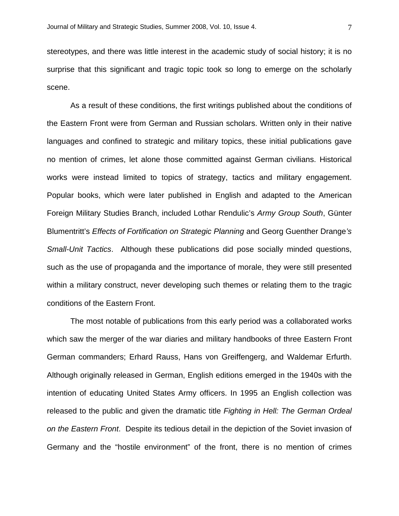stereotypes, and there was little interest in the academic study of social history; it is no surprise that this significant and tragic topic took so long to emerge on the scholarly scene.

As a result of these conditions, the first writings published about the conditions of the Eastern Front were from German and Russian scholars. Written only in their native languages and confined to strategic and military topics, these initial publications gave no mention of crimes, let alone those committed against German civilians. Historical works were instead limited to topics of strategy, tactics and military engagement. Popular books, which were later published in English and adapted to the American Foreign Military Studies Branch, included Lothar Rendulic's *Army Group South*, Günter Blumentritt's *Effects of Fortification on Strategic Planning* and Georg Guenther Drange*'s Small-Unit Tactics*. Although these publications did pose socially minded questions, such as the use of propaganda and the importance of morale, they were still presented within a military construct, never developing such themes or relating them to the tragic conditions of the Eastern Front.

The most notable of publications from this early period was a collaborated works which saw the merger of the war diaries and military handbooks of three Eastern Front German commanders; Erhard Rauss, Hans von Greiffengerg, and Waldemar Erfurth. Although originally released in German, English editions emerged in the 1940s with the intention of educating United States Army officers. In 1995 an English collection was released to the public and given the dramatic title *Fighting in Hell: The German Ordeal on the Eastern Front*. Despite its tedious detail in the depiction of the Soviet invasion of Germany and the "hostile environment" of the front, there is no mention of crimes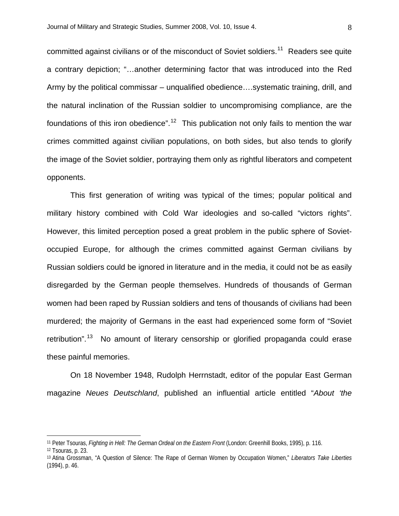committed against civilians or of the misconduct of Soviet soldiers.<sup>[11](#page-7-0)</sup> Readers see quite a contrary depiction; "…another determining factor that was introduced into the Red Army by the political commissar – unqualified obedience….systematic training, drill, and the natural inclination of the Russian soldier to uncompromising compliance, are the foundations of this iron obedience".<sup>[12](#page-7-1)</sup> This publication not only fails to mention the war crimes committed against civilian populations, on both sides, but also tends to glorify the image of the Soviet soldier, portraying them only as rightful liberators and competent opponents.

This first generation of writing was typical of the times; popular political and military history combined with Cold War ideologies and so-called "victors rights". However, this limited perception posed a great problem in the public sphere of Sovietoccupied Europe, for although the crimes committed against German civilians by Russian soldiers could be ignored in literature and in the media, it could not be as easily disregarded by the German people themselves. Hundreds of thousands of German women had been raped by Russian soldiers and tens of thousands of civilians had been murdered; the majority of Germans in the east had experienced some form of "Soviet retribution".<sup>[13](#page-7-2)</sup> No amount of literary censorship or glorified propaganda could erase these painful memories.

On 18 November 1948, Rudolph Herrnstadt, editor of the popular East German magazine *Neues Deutschland*, published an influential article entitled "*About 'the* 

<span id="page-7-0"></span><sup>11</sup> Peter Tsouras, *Fighting in Hell: The German Ordeal on the Eastern Front* (London: Greenhill Books, 1995), p. 116.

<span id="page-7-1"></span><sup>12</sup> Tsouras, p. 23.

<span id="page-7-2"></span><sup>13</sup> Atina Grossman, "A Question of Silence: The Rape of German Women by Occupation Women," *Liberators Take Liberties*  (1994), p. 46.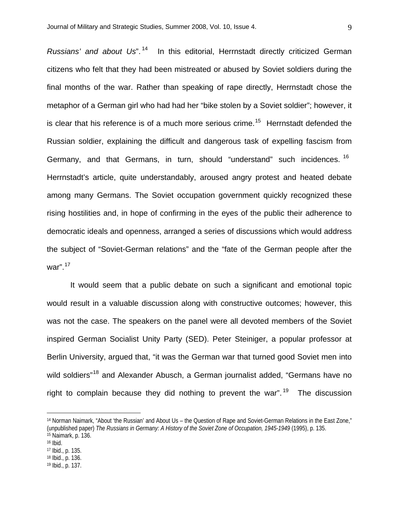*Russians' and about Us*". [14](#page-8-0) In this editorial, Herrnstadt directly criticized German citizens who felt that they had been mistreated or abused by Soviet soldiers during the final months of the war. Rather than speaking of rape directly, Herrnstadt chose the metaphor of a German girl who had had her "bike stolen by a Soviet soldier"; however, it is clear that his reference is of a much more serious crime.<sup>[15](#page-8-1)</sup> Herrnstadt defended the Russian soldier, explaining the difficult and dangerous task of expelling fascism from Germany, and that Germans, in turn, should "understand" such incidences. <sup>[16](#page-8-2)</sup> Herrnstadt's article, quite understandably, aroused angry protest and heated debate among many Germans. The Soviet occupation government quickly recognized these rising hostilities and, in hope of confirming in the eyes of the public their adherence to democratic ideals and openness, arranged a series of discussions which would address the subject of "Soviet-German relations" and the "fate of the German people after the war".<sup>[17](#page-8-3)</sup>

It would seem that a public debate on such a significant and emotional topic would result in a valuable discussion along with constructive outcomes; however, this was not the case. The speakers on the panel were all devoted members of the Soviet inspired German Socialist Unity Party (SED). Peter Steiniger, a popular professor at Berlin University, argued that, "it was the German war that turned good Soviet men into wild soldiers"<sup>[18](#page-8-4)</sup> and Alexander Abusch, a German journalist added, "Germans have no right to complain because they did nothing to prevent the war".<sup>[19](#page-8-5)</sup> The discussion

<span id="page-8-1"></span>15 Naimark, p. 136.

<span id="page-8-0"></span><sup>14</sup> Norman Naimark, "About 'the Russian' and About Us – the Question of Rape and Soviet-German Relations in the East Zone," (unpublished paper) *The Russians in Germany: A History of the Soviet Zone of Occupation, 1945-1949* (1995), p. 135.

<span id="page-8-2"></span><sup>16</sup> Ibid.

<span id="page-8-3"></span><sup>17</sup> Ibid., p. 135.

<span id="page-8-4"></span><sup>18</sup> Ibid., p. 136.

<span id="page-8-5"></span><sup>19</sup> Ibid., p. 137.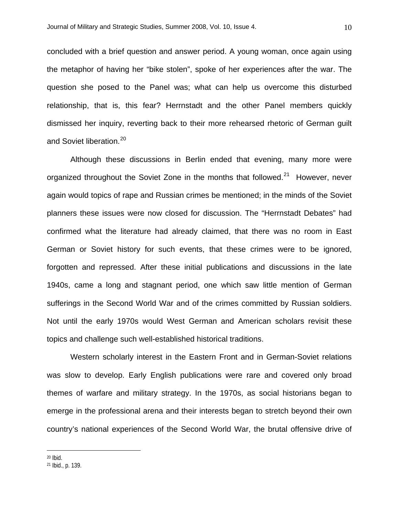concluded with a brief question and answer period. A young woman, once again using the metaphor of having her "bike stolen", spoke of her experiences after the war. The question she posed to the Panel was; what can help us overcome this disturbed relationship, that is, this fear? Herrnstadt and the other Panel members quickly dismissed her inquiry, reverting back to their more rehearsed rhetoric of German guilt and Soviet liberation.<sup>[20](#page-9-0)</sup>

Although these discussions in Berlin ended that evening, many more were organized throughout the Soviet Zone in the months that followed.<sup>[21](#page-9-1)</sup> However, never again would topics of rape and Russian crimes be mentioned; in the minds of the Soviet planners these issues were now closed for discussion. The "Herrnstadt Debates" had confirmed what the literature had already claimed, that there was no room in East German or Soviet history for such events, that these crimes were to be ignored, forgotten and repressed. After these initial publications and discussions in the late 1940s, came a long and stagnant period, one which saw little mention of German sufferings in the Second World War and of the crimes committed by Russian soldiers. Not until the early 1970s would West German and American scholars revisit these topics and challenge such well-established historical traditions.

Western scholarly interest in the Eastern Front and in German-Soviet relations was slow to develop. Early English publications were rare and covered only broad themes of warfare and military strategy. In the 1970s, as social historians began to emerge in the professional arena and their interests began to stretch beyond their own country's national experiences of the Second World War, the brutal offensive drive of

<span id="page-9-0"></span><sup>20</sup> Ibid.

<span id="page-9-1"></span><sup>21</sup> Ibid., p. 139.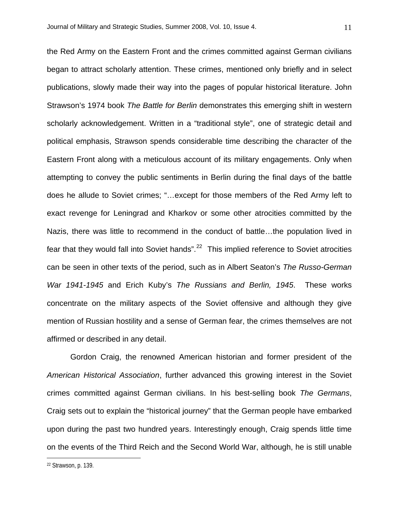the Red Army on the Eastern Front and the crimes committed against German civilians began to attract scholarly attention. These crimes, mentioned only briefly and in select publications, slowly made their way into the pages of popular historical literature. John Strawson's 1974 book *The Battle for Berlin* demonstrates this emerging shift in western scholarly acknowledgement. Written in a "traditional style", one of strategic detail and political emphasis, Strawson spends considerable time describing the character of the Eastern Front along with a meticulous account of its military engagements. Only when attempting to convey the public sentiments in Berlin during the final days of the battle does he allude to Soviet crimes; "…except for those members of the Red Army left to exact revenge for Leningrad and Kharkov or some other atrocities committed by the Nazis, there was little to recommend in the conduct of battle…the population lived in fear that they would fall into Soviet hands".<sup>[22](#page-10-0)</sup> This implied reference to Soviet atrocities can be seen in other texts of the period, such as in Albert Seaton's *The Russo-German War 1941-1945* and Erich Kuby's *The Russians and Berlin, 1945*. These works concentrate on the military aspects of the Soviet offensive and although they give mention of Russian hostility and a sense of German fear, the crimes themselves are not affirmed or described in any detail.

Gordon Craig, the renowned American historian and former president of the *American Historical Association*, further advanced this growing interest in the Soviet crimes committed against German civilians. In his best-selling book *The Germans*, Craig sets out to explain the "historical journey" that the German people have embarked upon during the past two hundred years. Interestingly enough, Craig spends little time on the events of the Third Reich and the Second World War, although, he is still unable

<span id="page-10-0"></span>22 Strawson, p. 139.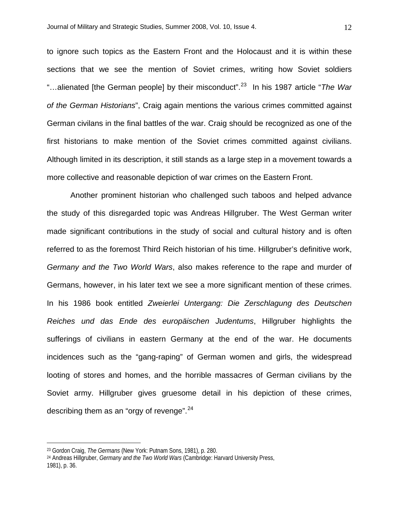to ignore such topics as the Eastern Front and the Holocaust and it is within these sections that we see the mention of Soviet crimes, writing how Soviet soldiers "…alienated [the German people] by their misconduct".[23](#page-11-0) In his 1987 article "*The War of the German Historians*", Craig again mentions the various crimes committed against German civilans in the final battles of the war. Craig should be recognized as one of the first historians to make mention of the Soviet crimes committed against civilians. Although limited in its description, it still stands as a large step in a movement towards a more collective and reasonable depiction of war crimes on the Eastern Front.

Another prominent historian who challenged such taboos and helped advance the study of this disregarded topic was Andreas Hillgruber. The West German writer made significant contributions in the study of social and cultural history and is often referred to as the foremost Third Reich historian of his time. Hillgruber's definitive work, *Germany and the Two World Wars*, also makes reference to the rape and murder of Germans, however, in his later text we see a more significant mention of these crimes. In his 1986 book entitled *Zweierlei Untergang: Die Zerschlagung des Deutschen Reiches und das Ende des europäischen Judentums*, Hillgruber highlights the sufferings of civilians in eastern Germany at the end of the war. He documents incidences such as the "gang-raping" of German women and girls, the widespread looting of stores and homes, and the horrible massacres of German civilians by the Soviet army. Hillgruber gives gruesome detail in his depiction of these crimes, describing them as an "orgy of revenge".  $24$ 

<u>.</u>

<span id="page-11-0"></span><sup>23</sup> Gordon Craig, *The Germans* (New York: Putnam Sons, 1981), p. 280.

<span id="page-11-1"></span><sup>24</sup> Andreas Hillgruber, *Germany and the Two World Wars* (Cambridge: Harvard University Press, 1981), p. 36.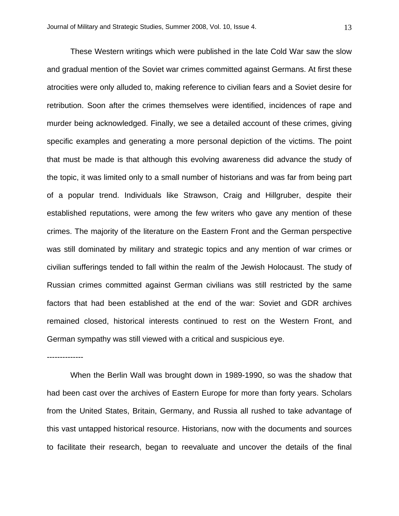These Western writings which were published in the late Cold War saw the slow and gradual mention of the Soviet war crimes committed against Germans. At first these atrocities were only alluded to, making reference to civilian fears and a Soviet desire for retribution. Soon after the crimes themselves were identified, incidences of rape and murder being acknowledged. Finally, we see a detailed account of these crimes, giving specific examples and generating a more personal depiction of the victims. The point that must be made is that although this evolving awareness did advance the study of the topic, it was limited only to a small number of historians and was far from being part of a popular trend. Individuals like Strawson, Craig and Hillgruber, despite their established reputations, were among the few writers who gave any mention of these crimes. The majority of the literature on the Eastern Front and the German perspective was still dominated by military and strategic topics and any mention of war crimes or civilian sufferings tended to fall within the realm of the Jewish Holocaust. The study of Russian crimes committed against German civilians was still restricted by the same factors that had been established at the end of the war: Soviet and GDR archives remained closed, historical interests continued to rest on the Western Front, and German sympathy was still viewed with a critical and suspicious eye.

--------------

When the Berlin Wall was brought down in 1989-1990, so was the shadow that had been cast over the archives of Eastern Europe for more than forty years. Scholars from the United States, Britain, Germany, and Russia all rushed to take advantage of this vast untapped historical resource. Historians, now with the documents and sources to facilitate their research, began to reevaluate and uncover the details of the final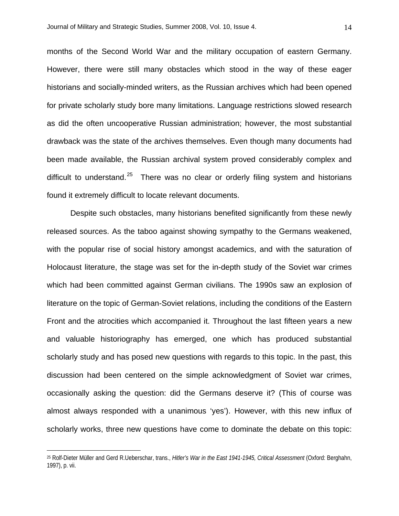months of the Second World War and the military occupation of eastern Germany. However, there were still many obstacles which stood in the way of these eager historians and socially-minded writers, as the Russian archives which had been opened for private scholarly study bore many limitations. Language restrictions slowed research as did the often uncooperative Russian administration; however, the most substantial drawback was the state of the archives themselves. Even though many documents had been made available, the Russian archival system proved considerably complex and difficult to understand.<sup>[25](#page-13-0)</sup> There was no clear or orderly filing system and historians found it extremely difficult to locate relevant documents.

Despite such obstacles, many historians benefited significantly from these newly released sources. As the taboo against showing sympathy to the Germans weakened, with the popular rise of social history amongst academics, and with the saturation of Holocaust literature, the stage was set for the in-depth study of the Soviet war crimes which had been committed against German civilians. The 1990s saw an explosion of literature on the topic of German-Soviet relations, including the conditions of the Eastern Front and the atrocities which accompanied it. Throughout the last fifteen years a new and valuable historiography has emerged, one which has produced substantial scholarly study and has posed new questions with regards to this topic. In the past, this discussion had been centered on the simple acknowledgment of Soviet war crimes, occasionally asking the question: did the Germans deserve it? (This of course was almost always responded with a unanimous 'yes'). However, with this new influx of scholarly works, three new questions have come to dominate the debate on this topic:

<span id="page-13-0"></span><sup>25</sup> Rolf-Dieter Müller and Gerd R.Ueberschar, trans., *Hitler's War in the East 1941-1945, Critical Assessment* (Oxford: Berghahn, 1997), p. vii.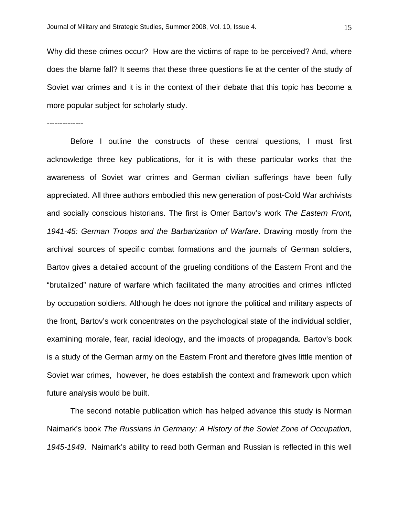Why did these crimes occur? How are the victims of rape to be perceived? And, where does the blame fall? It seems that these three questions lie at the center of the study of Soviet war crimes and it is in the context of their debate that this topic has become a more popular subject for scholarly study.

--------------

Before I outline the constructs of these central questions, I must first acknowledge three key publications, for it is with these particular works that the awareness of Soviet war crimes and German civilian sufferings have been fully appreciated. All three authors embodied this new generation of post-Cold War archivists and socially conscious historians. The first is Omer Bartov's work *The Eastern Front, 1941-45: German Troops and the Barbarization of Warfare*. Drawing mostly from the archival sources of specific combat formations and the journals of German soldiers, Bartov gives a detailed account of the grueling conditions of the Eastern Front and the "brutalized" nature of warfare which facilitated the many atrocities and crimes inflicted by occupation soldiers. Although he does not ignore the political and military aspects of the front, Bartov's work concentrates on the psychological state of the individual soldier, examining morale, fear, racial ideology, and the impacts of propaganda. Bartov's book is a study of the German army on the Eastern Front and therefore gives little mention of Soviet war crimes, however, he does establish the context and framework upon which future analysis would be built.

The second notable publication which has helped advance this study is Norman Naimark's book *The Russians in Germany: A History of the Soviet Zone of Occupation, 1945-1949*. Naimark's ability to read both German and Russian is reflected in this well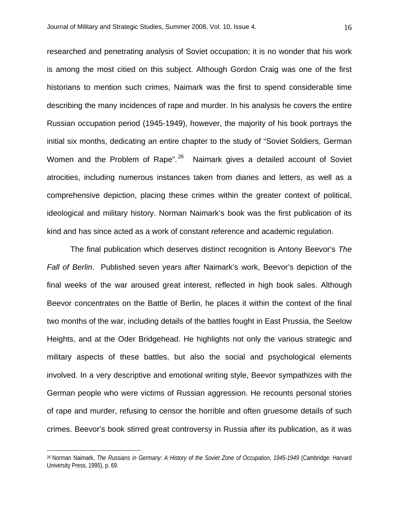researched and penetrating analysis of Soviet occupation; it is no wonder that his work is among the most citied on this subject. Although Gordon Craig was one of the first historians to mention such crimes, Naimark was the first to spend considerable time describing the many incidences of rape and murder. In his analysis he covers the entire Russian occupation period (1945-1949), however, the majority of his book portrays the initial six months, dedicating an entire chapter to the study of "Soviet Soldiers, German Women and the Problem of Rape".<sup>[26](#page-15-0)</sup> Naimark gives a detailed account of Soviet atrocities, including numerous instances taken from diaries and letters, as well as a comprehensive depiction, placing these crimes within the greater context of political, ideological and military history. Norman Naimark's book was the first publication of its kind and has since acted as a work of constant reference and academic regulation.

The final publication which deserves distinct recognition is Antony Beevor's *The Fall of Berlin*. Published seven years after Naimark's work, Beevor's depiction of the final weeks of the war aroused great interest, reflected in high book sales. Although Beevor concentrates on the Battle of Berlin, he places it within the context of the final two months of the war, including details of the battles fought in East Prussia, the Seelow Heights, and at the Oder Bridgehead. He highlights not only the various strategic and military aspects of these battles, but also the social and psychological elements involved. In a very descriptive and emotional writing style, Beevor sympathizes with the German people who were victims of Russian aggression. He recounts personal stories of rape and murder, refusing to censor the horrible and often gruesome details of such crimes. Beevor's book stirred great controversy in Russia after its publication, as it was

<span id="page-15-0"></span><sup>26</sup> Norman Naimark, *The Russians in Germany: A History of the Soviet Zone of Occupation, 1945-1949* (Cambridge: Harvard University Press, 1995), p. 69.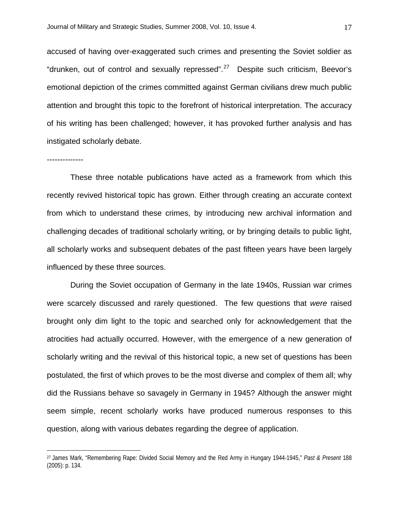accused of having over-exaggerated such crimes and presenting the Soviet soldier as "drunken, out of control and sexually repressed". $27$  Despite such criticism, Beevor's emotional depiction of the crimes committed against German civilians drew much public attention and brought this topic to the forefront of historical interpretation. The accuracy of his writing has been challenged; however, it has provoked further analysis and has instigated scholarly debate.

## --------------

 $\overline{a}$ 

These three notable publications have acted as a framework from which this recently revived historical topic has grown. Either through creating an accurate context from which to understand these crimes, by introducing new archival information and challenging decades of traditional scholarly writing, or by bringing details to public light, all scholarly works and subsequent debates of the past fifteen years have been largely influenced by these three sources.

During the Soviet occupation of Germany in the late 1940s, Russian war crimes were scarcely discussed and rarely questioned. The few questions that *were* raised brought only dim light to the topic and searched only for acknowledgement that the atrocities had actually occurred. However, with the emergence of a new generation of scholarly writing and the revival of this historical topic, a new set of questions has been postulated, the first of which proves to be the most diverse and complex of them all; why did the Russians behave so savagely in Germany in 1945? Although the answer might seem simple, recent scholarly works have produced numerous responses to this question, along with various debates regarding the degree of application.

<span id="page-16-0"></span><sup>27</sup> James Mark, "Remembering Rape: Divided Social Memory and the Red Army in Hungary 1944-1945," *Past & Present* 188 (2005): p. 134.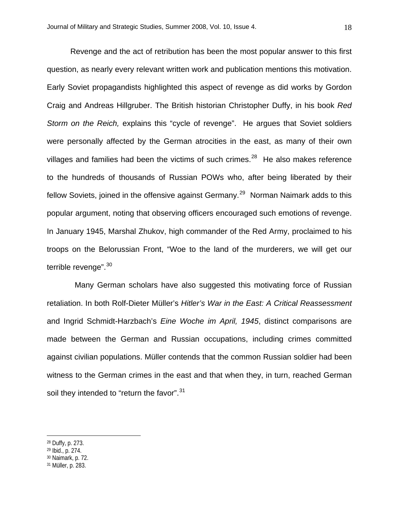Revenge and the act of retribution has been the most popular answer to this first question, as nearly every relevant written work and publication mentions this motivation. Early Soviet propagandists highlighted this aspect of revenge as did works by Gordon Craig and Andreas Hillgruber. The British historian Christopher Duffy, in his book *Red Storm on the Reich,* explains this "cycle of revenge". He argues that Soviet soldiers were personally affected by the German atrocities in the east, as many of their own villages and families had been the victims of such crimes. $28$  He also makes reference to the hundreds of thousands of Russian POWs who, after being liberated by their fellow Soviets, joined in the offensive against Germany.<sup>[29](#page-17-1)</sup> Norman Naimark adds to this popular argument, noting that observing officers encouraged such emotions of revenge. In January 1945, Marshal Zhukov, high commander of the Red Army, proclaimed to his troops on the Belorussian Front, "Woe to the land of the murderers, we will get our terrible revenge".<sup>[30](#page-17-2)</sup>

 Many German scholars have also suggested this motivating force of Russian retaliation. In both Rolf-Dieter Müller's *Hitler's War in the East: A Critical Reassessment* and Ingrid Schmidt-Harzbach's *Eine Woche im April, 1945*, distinct comparisons are made between the German and Russian occupations, including crimes committed against civilian populations. Müller contends that the common Russian soldier had been witness to the German crimes in the east and that when they, in turn, reached German soil they intended to "return the favor".<sup>[31](#page-17-3)</sup>

<span id="page-17-0"></span><sup>28</sup> Duffy, p. 273.

<span id="page-17-2"></span><span id="page-17-1"></span><sup>29</sup> Ibid., p. 274.

<sup>30</sup> Naimark, p. 72.

<span id="page-17-3"></span><sup>31</sup> Müller, p. 283.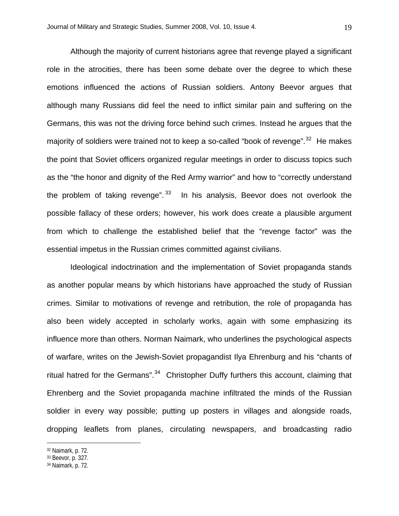Although the majority of current historians agree that revenge played a significant role in the atrocities, there has been some debate over the degree to which these emotions influenced the actions of Russian soldiers. Antony Beevor argues that although many Russians did feel the need to inflict similar pain and suffering on the Germans, this was not the driving force behind such crimes. Instead he argues that the majority of soldiers were trained not to keep a so-called "book of revenge".<sup>[32](#page-18-0)</sup> He makes the point that Soviet officers organized regular meetings in order to discuss topics such as the "the honor and dignity of the Red Army warrior" and how to "correctly understand the problem of taking revenge".  $33$  In his analysis, Beevor does not overlook the possible fallacy of these orders; however, his work does create a plausible argument from which to challenge the established belief that the "revenge factor" was the essential impetus in the Russian crimes committed against civilians.

Ideological indoctrination and the implementation of Soviet propaganda stands as another popular means by which historians have approached the study of Russian crimes. Similar to motivations of revenge and retribution, the role of propaganda has also been widely accepted in scholarly works, again with some emphasizing its influence more than others. Norman Naimark, who underlines the psychological aspects of warfare, writes on the Jewish-Soviet propagandist Ilya Ehrenburg and his "chants of ritual hatred for the Germans". $34$  Christopher Duffy furthers this account, claiming that Ehrenberg and the Soviet propaganda machine infiltrated the minds of the Russian soldier in every way possible; putting up posters in villages and alongside roads, dropping leaflets from planes, circulating newspapers, and broadcasting radio

<span id="page-18-0"></span><sup>32</sup> Naimark, p. 72.

<span id="page-18-1"></span><sup>33</sup> Beevor, p. 327.

<span id="page-18-2"></span><sup>34</sup> Naimark, p. 72.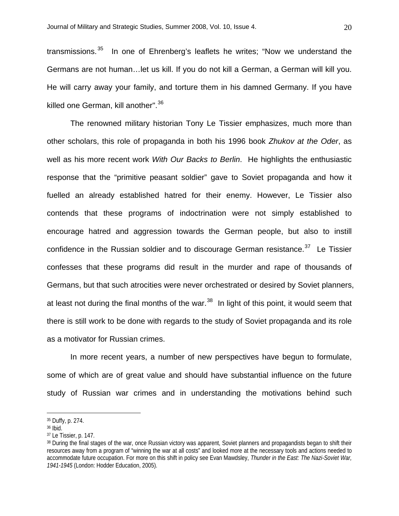transmissions.<sup>[35](#page-19-0)</sup> In one of Ehrenberg's leaflets he writes; "Now we understand the Germans are not human…let us kill. If you do not kill a German, a German will kill you. He will carry away your family, and torture them in his damned Germany. If you have killed one German, kill another".[36](#page-19-1)

The renowned military historian Tony Le Tissier emphasizes, much more than other scholars, this role of propaganda in both his 1996 book *Zhukov at the Oder*, as well as his more recent work *With Our Backs to Berlin*. He highlights the enthusiastic response that the "primitive peasant soldier" gave to Soviet propaganda and how it fuelled an already established hatred for their enemy. However, Le Tissier also contends that these programs of indoctrination were not simply established to encourage hatred and aggression towards the German people, but also to instill confidence in the Russian soldier and to discourage German resistance.<sup>[37](#page-19-2)</sup> Le Tissier confesses that these programs did result in the murder and rape of thousands of Germans, but that such atrocities were never orchestrated or desired by Soviet planners, at least not during the final months of the war. $38$  In light of this point, it would seem that there is still work to be done with regards to the study of Soviet propaganda and its role as a motivator for Russian crimes.

In more recent years, a number of new perspectives have begun to formulate, some of which are of great value and should have substantial influence on the future study of Russian war crimes and in understanding the motivations behind such

<span id="page-19-0"></span><sup>35</sup> Duffy, p. 274.

<span id="page-19-1"></span><sup>36</sup> Ibid.

<span id="page-19-2"></span><sup>37</sup> Le Tissier, p. 147.

<span id="page-19-3"></span><sup>&</sup>lt;sup>38</sup> During the final stages of the war, once Russian victory was apparent, Soviet planners and propagandists began to shift their resources away from a program of "winning the war at all costs" and looked more at the necessary tools and actions needed to accommodate future occupation. For more on this shift in policy see Evan Mawdsley, *Thunder in the East: The Nazi-Soviet War, 1941-1945* (London: Hodder Education, 2005).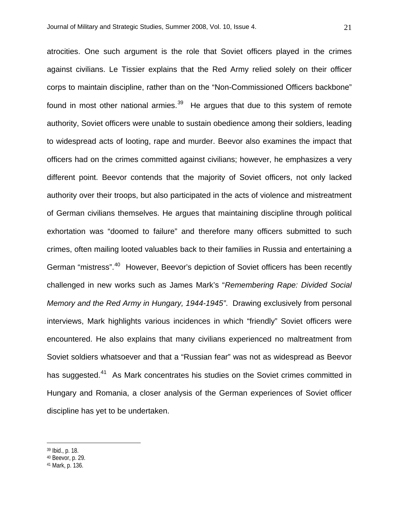atrocities. One such argument is the role that Soviet officers played in the crimes against civilians. Le Tissier explains that the Red Army relied solely on their officer corps to maintain discipline, rather than on the "Non-Commissioned Officers backbone" found in most other national armies. $39$  He argues that due to this system of remote authority, Soviet officers were unable to sustain obedience among their soldiers, leading to widespread acts of looting, rape and murder. Beevor also examines the impact that officers had on the crimes committed against civilians; however, he emphasizes a very different point. Beevor contends that the majority of Soviet officers, not only lacked authority over their troops, but also participated in the acts of violence and mistreatment of German civilians themselves. He argues that maintaining discipline through political exhortation was "doomed to failure" and therefore many officers submitted to such crimes, often mailing looted valuables back to their families in Russia and entertaining a German "mistress".<sup>[40](#page-20-1)</sup> However, Beevor's depiction of Soviet officers has been recently challenged in new works such as James Mark's "*Remembering Rape: Divided Social Memory and the Red Army in Hungary, 1944-1945"*. Drawing exclusively from personal interviews, Mark highlights various incidences in which "friendly" Soviet officers were encountered. He also explains that many civilians experienced no maltreatment from Soviet soldiers whatsoever and that a "Russian fear" was not as widespread as Beevor has suggested.<sup>[41](#page-20-2)</sup> As Mark concentrates his studies on the Soviet crimes committed in Hungary and Romania, a closer analysis of the German experiences of Soviet officer discipline has yet to be undertaken.

<span id="page-20-0"></span>39 Ibid., p. 18.

<span id="page-20-1"></span><sup>40</sup> Beevor, p. 29.

<span id="page-20-2"></span><sup>41</sup> Mark, p. 136.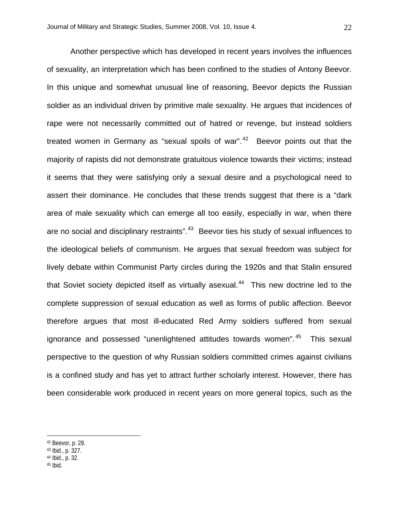Another perspective which has developed in recent years involves the influences of sexuality, an interpretation which has been confined to the studies of Antony Beevor. In this unique and somewhat unusual line of reasoning, Beevor depicts the Russian soldier as an individual driven by primitive male sexuality. He argues that incidences of rape were not necessarily committed out of hatred or revenge, but instead soldiers treated women in Germany as "sexual spoils of war". $42$  Beevor points out that the majority of rapists did not demonstrate gratuitous violence towards their victims; instead it seems that they were satisfying only a sexual desire and a psychological need to assert their dominance. He concludes that these trends suggest that there is a "dark area of male sexuality which can emerge all too easily, especially in war, when there are no social and disciplinary restraints".<sup>[43](#page-21-1)</sup> Beevor ties his study of sexual influences to the ideological beliefs of communism. He argues that sexual freedom was subject for lively debate within Communist Party circles during the 1920s and that Stalin ensured that Soviet society depicted itself as virtually asexual. $44$  This new doctrine led to the complete suppression of sexual education as well as forms of public affection. Beevor therefore argues that most ill-educated Red Army soldiers suffered from sexual ignorance and possessed "unenlightened attitudes towards women".<sup>[45](#page-21-3)</sup> This sexual perspective to the question of why Russian soldiers committed crimes against civilians is a confined study and has yet to attract further scholarly interest. However, there has been considerable work produced in recent years on more general topics, such as the

- <span id="page-21-2"></span>44 Ibid., p. 32.
- <span id="page-21-3"></span>45 Ibid.

<span id="page-21-0"></span><sup>42</sup> Beevor, p. 28.

<span id="page-21-1"></span><sup>43</sup> Ibid., p. 327.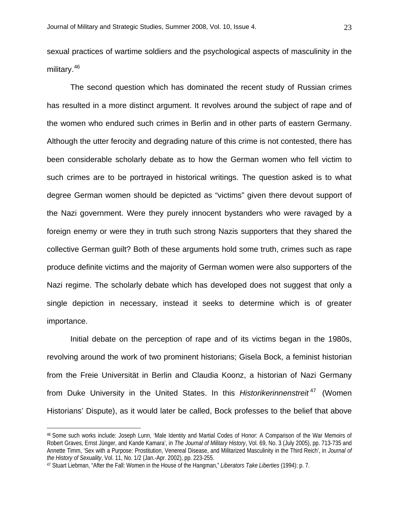sexual practices of wartime soldiers and the psychological aspects of masculinity in the military.<sup>[46](#page-22-0)</sup>

The second question which has dominated the recent study of Russian crimes has resulted in a more distinct argument. It revolves around the subject of rape and of the women who endured such crimes in Berlin and in other parts of eastern Germany. Although the utter ferocity and degrading nature of this crime is not contested, there has been considerable scholarly debate as to how the German women who fell victim to such crimes are to be portrayed in historical writings. The question asked is to what degree German women should be depicted as "victims" given there devout support of the Nazi government. Were they purely innocent bystanders who were ravaged by a foreign enemy or were they in truth such strong Nazis supporters that they shared the collective German guilt? Both of these arguments hold some truth, crimes such as rape produce definite victims and the majority of German women were also supporters of the Nazi regime. The scholarly debate which has developed does not suggest that only a single depiction in necessary, instead it seeks to determine which is of greater importance.

Initial debate on the perception of rape and of its victims began in the 1980s, revolving around the work of two prominent historians; Gisela Bock, a feminist historian from the Freie Universität in Berlin and Claudia Koonz, a historian of Nazi Germany from Duke University in the United States. In this *Historikerinnenstreit<sup>[47](#page-22-1)</sup>* (Women Historians' Dispute), as it would later be called, Bock professes to the belief that above

<span id="page-22-0"></span><sup>46</sup> Some such works include: Joseph Lunn, 'Male Identity and Martial Codes of Honor: A Comparison of the War Memoirs of Robert Graves, Ernst Jünger, and Kande Kamara', in *The Journal of Military History*, Vol. 69, No. 3 (July 2005), pp. 713-735 and Annette Timm, 'Sex with a Purpose: Prostitution, Venereal Disease, and Militarized Masculinity in the Third Reich', in *Journal of the History of Sexuality*, Vol. 11, No. 1/2 (Jan.-Apr. 2002), pp. 223-255.

<span id="page-22-1"></span><sup>47</sup> Stuart Liebman, "After the Fall: Women in the House of the Hangman," *Liberators Take Liberties* (1994): p. 7.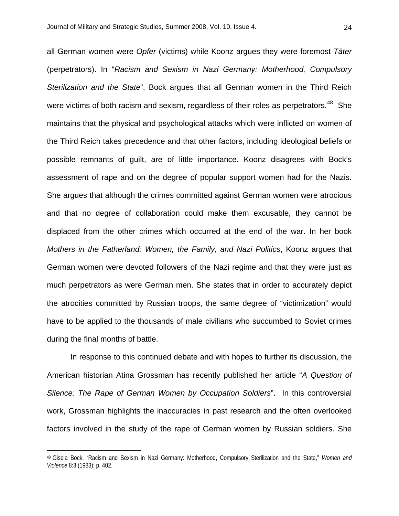all German women were *Opfer* (victims) while Koonz argues they were foremost *Täter* (perpetrators). In "*Racism and Sexism in Nazi Germany: Motherhood, Compulsory Sterilization and the State*", Bock argues that all German women in the Third Reich were victims of both racism and sexism, regardless of their roles as perpetrators.<sup>[48](#page-23-0)</sup> She maintains that the physical and psychological attacks which were inflicted on women of the Third Reich takes precedence and that other factors, including ideological beliefs or possible remnants of guilt, are of little importance. Koonz disagrees with Bock's assessment of rape and on the degree of popular support women had for the Nazis. She argues that although the crimes committed against German women were atrocious and that no degree of collaboration could make them excusable, they cannot be displaced from the other crimes which occurred at the end of the war. In her book *Mothers in the Fatherland: Women, the Family, and Nazi Politics*, Koonz argues that German women were devoted followers of the Nazi regime and that they were just as much perpetrators as were German men. She states that in order to accurately depict the atrocities committed by Russian troops, the same degree of "victimization" would have to be applied to the thousands of male civilians who succumbed to Soviet crimes during the final months of battle.

In response to this continued debate and with hopes to further its discussion, the American historian Atina Grossman has recently published her article "*A Question of Silence: The Rape of German Women by Occupation Soldiers*". In this controversial work, Grossman highlights the inaccuracies in past research and the often overlooked factors involved in the study of the rape of German women by Russian soldiers. She

<span id="page-23-0"></span><sup>48</sup> Gisela Bock, "Racism and Sexism in Nazi Germany: Motherhood, Compulsory Sterilization and the State," *Women and Violence* 8:3 (1983): p. 402.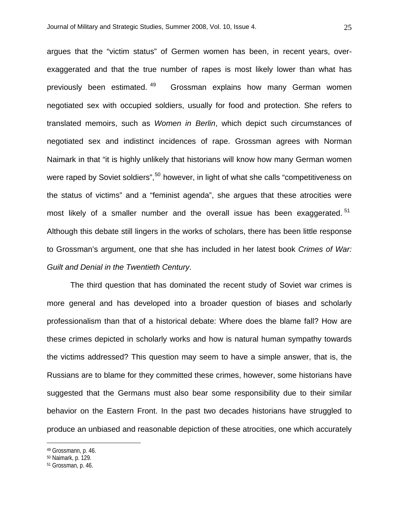argues that the "victim status" of Germen women has been, in recent years, overexaggerated and that the true number of rapes is most likely lower than what has previously been estimated.<sup>[49](#page-24-0)</sup> Grossman explains how many German women negotiated sex with occupied soldiers, usually for food and protection. She refers to translated memoirs, such as *Women in Berlin*, which depict such circumstances of negotiated sex and indistinct incidences of rape. Grossman agrees with Norman Naimark in that "it is highly unlikely that historians will know how many German women were raped by Soviet soldiers",<sup>[50](#page-24-1)</sup> however, in light of what she calls "competitiveness on the status of victims" and a "feminist agenda", she argues that these atrocities were most likely of a smaller number and the overall issue has been exaggerated.<sup>[51](#page-24-2)</sup> Although this debate still lingers in the works of scholars, there has been little response to Grossman's argument, one that she has included in her latest book *Crimes of War: Guilt and Denial in the Twentieth Century*.

The third question that has dominated the recent study of Soviet war crimes is more general and has developed into a broader question of biases and scholarly professionalism than that of a historical debate: Where does the blame fall? How are these crimes depicted in scholarly works and how is natural human sympathy towards the victims addressed? This question may seem to have a simple answer, that is, the Russians are to blame for they committed these crimes, however, some historians have suggested that the Germans must also bear some responsibility due to their similar behavior on the Eastern Front. In the past two decades historians have struggled to produce an unbiased and reasonable depiction of these atrocities, one which accurately

<u>.</u>

<span id="page-24-0"></span><sup>49</sup> Grossmann, p. 46.

<span id="page-24-1"></span><sup>50</sup> Naimark, p. 129.

<span id="page-24-2"></span><sup>51</sup> Grossman, p. 46.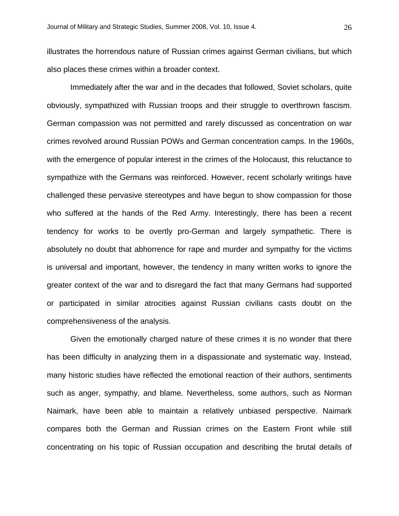illustrates the horrendous nature of Russian crimes against German civilians, but which also places these crimes within a broader context.

Immediately after the war and in the decades that followed, Soviet scholars, quite obviously, sympathized with Russian troops and their struggle to overthrown fascism. German compassion was not permitted and rarely discussed as concentration on war crimes revolved around Russian POWs and German concentration camps. In the 1960s, with the emergence of popular interest in the crimes of the Holocaust, this reluctance to sympathize with the Germans was reinforced. However, recent scholarly writings have challenged these pervasive stereotypes and have begun to show compassion for those who suffered at the hands of the Red Army. Interestingly, there has been a recent tendency for works to be overtly pro-German and largely sympathetic. There is absolutely no doubt that abhorrence for rape and murder and sympathy for the victims is universal and important, however, the tendency in many written works to ignore the greater context of the war and to disregard the fact that many Germans had supported or participated in similar atrocities against Russian civilians casts doubt on the comprehensiveness of the analysis.

Given the emotionally charged nature of these crimes it is no wonder that there has been difficulty in analyzing them in a dispassionate and systematic way. Instead, many historic studies have reflected the emotional reaction of their authors, sentiments such as anger, sympathy, and blame. Nevertheless, some authors, such as Norman Naimark, have been able to maintain a relatively unbiased perspective. Naimark compares both the German and Russian crimes on the Eastern Front while still concentrating on his topic of Russian occupation and describing the brutal details of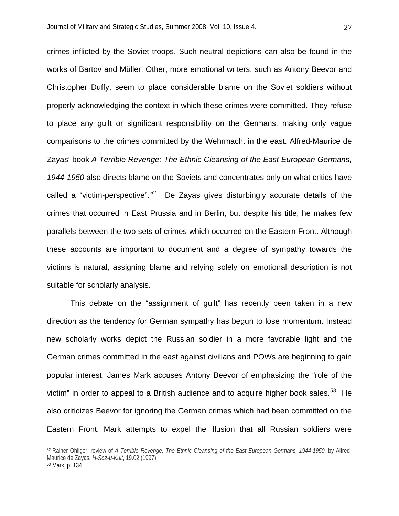crimes inflicted by the Soviet troops. Such neutral depictions can also be found in the works of Bartov and Müller. Other, more emotional writers, such as Antony Beevor and Christopher Duffy, seem to place considerable blame on the Soviet soldiers without properly acknowledging the context in which these crimes were committed. They refuse to place any guilt or significant responsibility on the Germans, making only vague comparisons to the crimes committed by the Wehrmacht in the east. Alfred-Maurice de Zayas' book *A Terrible Revenge: The Ethnic Cleansing of the East European Germans, 1944-1950* also directs blame on the Soviets and concentrates only on what critics have called a "victim-perspective".<sup>[52](#page-26-0)</sup> De Zayas gives disturbingly accurate details of the crimes that occurred in East Prussia and in Berlin, but despite his title, he makes few parallels between the two sets of crimes which occurred on the Eastern Front. Although these accounts are important to document and a degree of sympathy towards the

victims is natural, assigning blame and relying solely on emotional description is not suitable for scholarly analysis.

This debate on the "assignment of guilt" has recently been taken in a new direction as the tendency for German sympathy has begun to lose momentum. Instead new scholarly works depict the Russian soldier in a more favorable light and the German crimes committed in the east against civilians and POWs are beginning to gain popular interest. James Mark accuses Antony Beevor of emphasizing the "role of the victim" in order to appeal to a British audience and to acquire higher book sales.<sup>[53](#page-26-1)</sup> He also criticizes Beevor for ignoring the German crimes which had been committed on the Eastern Front. Mark attempts to expel the illusion that all Russian soldiers were

<span id="page-26-0"></span><sup>52</sup> Rainer Ohliger, review of A Terrible Revenge. The Ethnic Cleansing of the East European Germans, 1944-1950, by Alfred-Maurice de Zayas*. H-Soz-u-Kult*, 19.02 (1997).

<span id="page-26-1"></span><sup>53</sup> Mark, p. 134.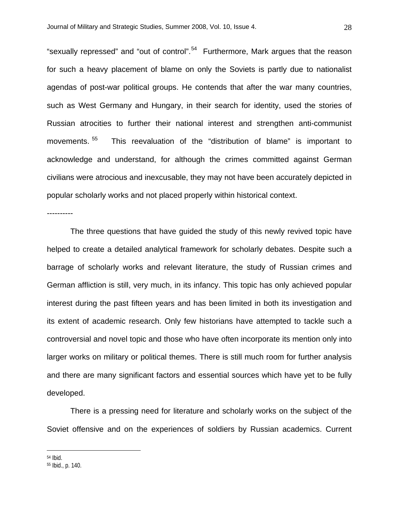"sexually repressed" and "out of control".<sup>[54](#page-27-0)</sup> Furthermore, Mark argues that the reason for such a heavy placement of blame on only the Soviets is partly due to nationalist agendas of post-war political groups. He contends that after the war many countries, such as West Germany and Hungary, in their search for identity, used the stories of Russian atrocities to further their national interest and strengthen anti-communist movements. [55](#page-27-1) This reevaluation of the "distribution of blame" is important to acknowledge and understand, for although the crimes committed against German civilians were atrocious and inexcusable, they may not have been accurately depicted in popular scholarly works and not placed properly within historical context.

----------

The three questions that have guided the study of this newly revived topic have helped to create a detailed analytical framework for scholarly debates. Despite such a barrage of scholarly works and relevant literature, the study of Russian crimes and German affliction is still, very much, in its infancy. This topic has only achieved popular interest during the past fifteen years and has been limited in both its investigation and its extent of academic research. Only few historians have attempted to tackle such a controversial and novel topic and those who have often incorporate its mention only into larger works on military or political themes. There is still much room for further analysis and there are many significant factors and essential sources which have yet to be fully developed.

There is a pressing need for literature and scholarly works on the subject of the Soviet offensive and on the experiences of soldiers by Russian academics. Current

<span id="page-27-0"></span><sup>54</sup> Ibid.

<span id="page-27-1"></span><sup>55</sup> Ibid., p. 140.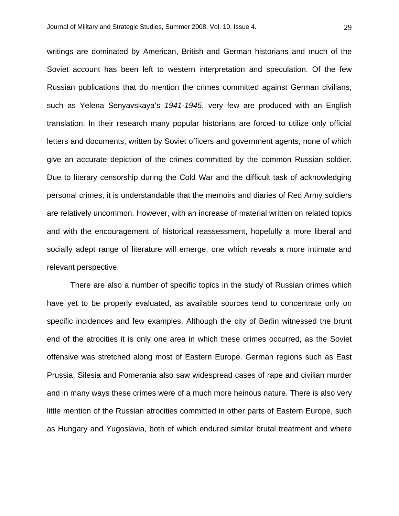writings are dominated by American, British and German historians and much of the Soviet account has been left to western interpretation and speculation. Of the few Russian publications that do mention the crimes committed against German civilians, such as Yelena Senyavskaya's *1941-1945*, very few are produced with an English translation. In their research many popular historians are forced to utilize only official letters and documents, written by Soviet officers and government agents, none of which give an accurate depiction of the crimes committed by the common Russian soldier. Due to literary censorship during the Cold War and the difficult task of acknowledging personal crimes, it is understandable that the memoirs and diaries of Red Army soldiers are relatively uncommon. However, with an increase of material written on related topics and with the encouragement of historical reassessment, hopefully a more liberal and socially adept range of literature will emerge, one which reveals a more intimate and relevant perspective.

There are also a number of specific topics in the study of Russian crimes which have yet to be properly evaluated, as available sources tend to concentrate only on specific incidences and few examples. Although the city of Berlin witnessed the brunt end of the atrocities it is only one area in which these crimes occurred, as the Soviet offensive was stretched along most of Eastern Europe. German regions such as East Prussia, Silesia and Pomerania also saw widespread cases of rape and civilian murder and in many ways these crimes were of a much more heinous nature. There is also very little mention of the Russian atrocities committed in other parts of Eastern Europe, such as Hungary and Yugoslavia, both of which endured similar brutal treatment and where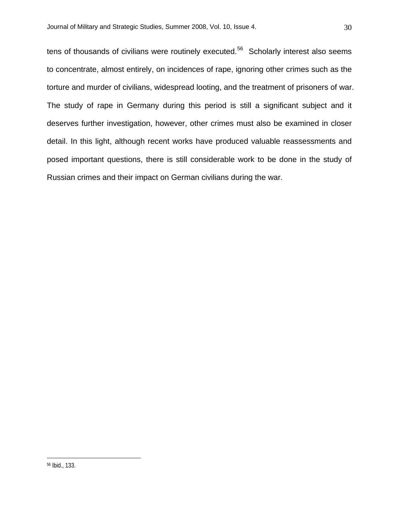tens of thousands of civilians were routinely executed.<sup>[56](#page-29-0)</sup> Scholarly interest also seems to concentrate, almost entirely, on incidences of rape, ignoring other crimes such as the torture and murder of civilians, widespread looting, and the treatment of prisoners of war. The study of rape in Germany during this period is still a significant subject and it deserves further investigation, however, other crimes must also be examined in closer detail. In this light, although recent works have produced valuable reassessments and posed important questions, there is still considerable work to be done in the study of Russian crimes and their impact on German civilians during the war.

<span id="page-29-0"></span><sup>56</sup> Ibid., 133.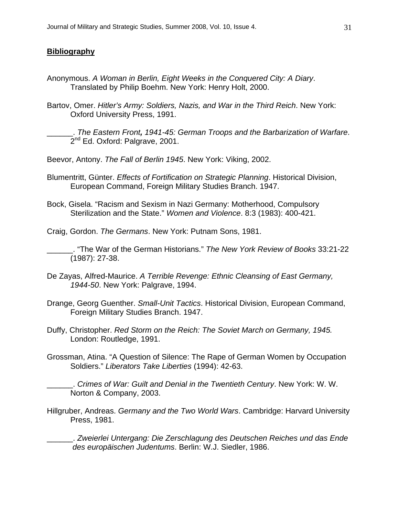## **Bibliography**

- Anonymous. *A Woman in Berlin, Eight Weeks in the Conquered City: A Diary*. Translated by Philip Boehm. New York: Henry Holt, 2000.
- Bartov, Omer. *Hitler's Army: Soldiers, Nazis, and War in the Third Reich*. New York: Oxford University Press, 1991.

\_\_\_\_\_\_. *The Eastern Front, 1941-45: German Troops and the Barbarization of Warfare*. 2<sup>nd</sup> Ed. Oxford: Palgrave, 2001.

Beevor, Antony. *The Fall of Berlin 1945*. New York: Viking, 2002.

- Blumentritt, Günter. *Effects of Fortification on Strategic Planning*. Historical Division, European Command, Foreign Military Studies Branch. 1947.
- Bock, Gisela. "Racism and Sexism in Nazi Germany: Motherhood, Compulsory Sterilization and the State." *Women and Violence*. 8:3 (1983): 400-421.

Craig, Gordon. *The Germans*. New York: Putnam Sons, 1981.

\_\_\_\_\_\_. "The War of the German Historians." *The New York Review of Books* 33:21-22 (1987): 27-38.

- De Zayas, Alfred-Maurice. *A Terrible Revenge: Ethnic Cleansing of East Germany, 1944-50*. New York: Palgrave, 1994.
- Drange, Georg Guenther. *Small-Unit Tactics*. Historical Division, European Command, Foreign Military Studies Branch. 1947.
- Duffy, Christopher. *Red Storm on the Reich: The Soviet March on Germany, 1945.* London: Routledge, 1991.
- Grossman, Atina. "A Question of Silence: The Rape of German Women by Occupation Soldiers." *Liberators Take Liberties* (1994): 42-63.

\_\_\_\_\_\_. *Crimes of War: Guilt and Denial in the Twentieth Century*. New York: W. W. Norton & Company, 2003.

Hillgruber, Andreas. *Germany and the Two World Wars*. Cambridge: Harvard University Press, 1981.

\_\_\_\_\_\_. *Zweierlei Untergang: Die Zerschlagung des Deutschen Reiches und das Ende des europäischen Judentums*. Berlin: W.J. Siedler, 1986.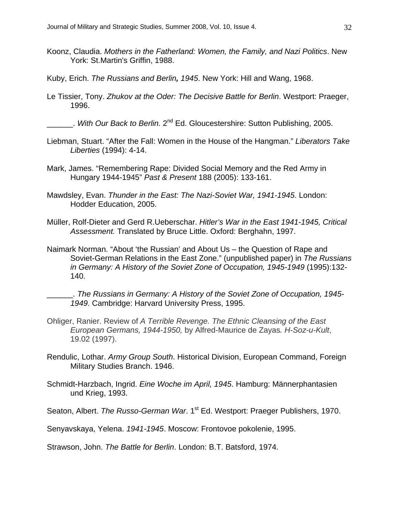- Koonz, Claudia. *Mothers in the Fatherland: Women, the Family, and Nazi Politics*. New York: St.Martin's Griffin, 1988.
- Kuby, Erich. *The Russians and Berlin, 1945*. New York: Hill and Wang, 1968.
- Le Tissier, Tony. *Zhukov at the Oder: The Decisive Battle for Berlin*. Westport: Praeger, 1996.

\_\_\_\_\_\_. *With Our Back to Berlin.* 2nd Ed. Gloucestershire: Sutton Publishing, 2005.

- Liebman, Stuart. "After the Fall: Women in the House of the Hangman." *Liberators Take Liberties* (1994): 4-14.
- Mark, James. "Remembering Rape: Divided Social Memory and the Red Army in Hungary 1944-1945" *Past & Present* 188 (2005): 133-161.
- Mawdsley, Evan. *Thunder in the East: The Nazi-Soviet War, 1941-1945*. London: Hodder Education, 2005.
- Müller, Rolf-Dieter and Gerd R.Ueberschar. *Hitler's War in the East 1941-1945, Critical Assessment.* Translated by Bruce Little. Oxford: Berghahn, 1997.
- Naimark Norman. "About 'the Russian' and About Us the Question of Rape and Soviet-German Relations in the East Zone." (unpublished paper) in *The Russians in Germany: A History of the Soviet Zone of Occupation, 1945-1949* (1995):132- 140.
- \_\_\_\_\_\_. *The Russians in Germany: A History of the Soviet Zone of Occupation, 1945- 1949*. Cambridge: Harvard University Press, 1995.
- Ohliger, Ranier. Review of *A Terrible Revenge. The Ethnic Cleansing of the East European Germans, 1944-1950,* by Alfred-Maurice de Zayas*. H-Soz-u-Kult*, 19.02 (1997).
- Rendulic, Lothar. *Army Group South*. Historical Division, European Command, Foreign Military Studies Branch. 1946.
- Schmidt-Harzbach, Ingrid. *Eine Woche im April, 1945*. Hamburg: Männerphantasien und Krieg, 1993.
- Seaton, Albert. *The Russo-German War*. 1<sup>st</sup> Ed. Westport: Praeger Publishers, 1970.

Senyavskaya, Yelena. *1941-1945*. Moscow: Frontovoe pokolenie, 1995.

Strawson, John. *The Battle for Berlin*. London: B.T. Batsford, 1974.